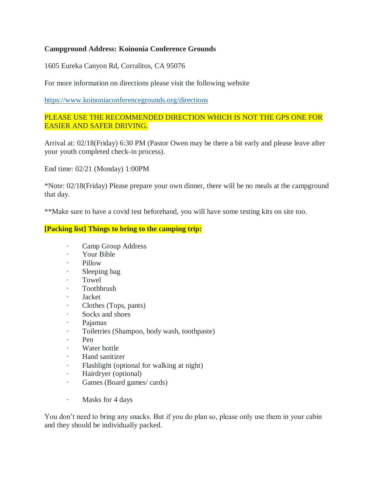## **Campground Address: Koinonia Conference Grounds**

1605 Eureka Canyon Rd, Corralitos, CA 95076

For more information on directions please visit the following website

<https://www.koinoniaconferencegrounds.org/directions>

## PLEASE USE THE RECOMMENDED DIRECTION WHICH IS NOT THE GPS ONE FOR EASIER AND SAFER DRIVING.

Arrival at: 02/18(Friday) 6:30 PM (Pastor Owen may be there a bit early and please leave after your youth completed check-in process).

End time: 02/21 (Monday) 1:00PM

\*Note: 02/18(Friday) Please prepare your own dinner, there will be no meals at the campground that day.

\*\*Make sure to have a covid test beforehand, you will have some testing kits on site too.

## **[Packing list] Things to bring to the camping trip:**

- · Camp Group Address
- Your Bible
- Pillow
- · Sleeping bag
- · Towel
- · Toothbrush
- · Jacket
- Clothes (Tops, pants)
- · Socks and shoes
- · Pajamas
- · Toiletries (Shampoo, body wash, toothpaste)
- Pen
- Water bottle
- Hand sanitizer
- Flashlight (optional for walking at night)
- Hairdryer (optional)
- · Games (Board games/ cards)
- · Masks for 4 days

You don't need to bring any snacks. But if you do plan so, please only use them in your cabin and they should be individually packed.